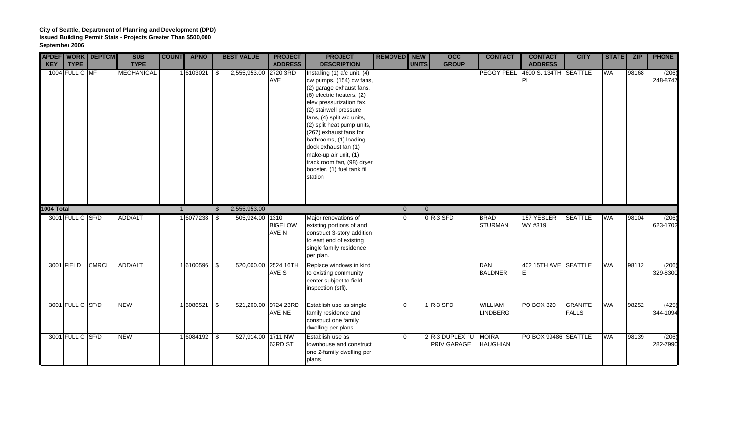| <b>KEY</b> | <b>TYPE</b>      | <b>APDEF WORK DEPTCM</b> | <b>SUB</b><br><b>TYPE</b> | <b>COUNT</b>   | <b>APNO</b>     |               | <b>BEST VALUE</b>     | <b>PROJECT</b><br><b>ADDRESS</b>      | <b>PROJECT</b><br><b>DESCRIPTION</b>                                                                                                                                                                                                                                                                                                                                                                                 | REMOVED NEW    | <b>UNITS</b> | $\overline{occ}$<br><b>GROUP</b> | <b>CONTACT</b>                    | <b>CONTACT</b><br><b>ADDRESS</b>     | <b>CITY</b>                    | <b>STATE</b> | ZIP   | <b>PHONE</b>      |
|------------|------------------|--------------------------|---------------------------|----------------|-----------------|---------------|-----------------------|---------------------------------------|----------------------------------------------------------------------------------------------------------------------------------------------------------------------------------------------------------------------------------------------------------------------------------------------------------------------------------------------------------------------------------------------------------------------|----------------|--------------|----------------------------------|-----------------------------------|--------------------------------------|--------------------------------|--------------|-------|-------------------|
|            | 1004 FULL C MF   |                          | MECHANICAL                |                | 1 6103021       | -\$           | 2,555,953.00 2720 3RD | <b>AVE</b>                            | Installing $(1)$ a/c unit, $(4)$<br>cw pumps, (154) cw fans,<br>(2) garage exhaust fans,<br>(6) electric heaters, (2)<br>elev pressurization fax,<br>(2) stairwell pressure<br>fans, (4) split a/c units,<br>(2) split heat pump units,<br>(267) exhaust fans for<br>bathrooms, (1) loading<br>dock exhaust fan (1)<br>make-up air unit, (1)<br>track room fan, (98) dryer<br>booster, (1) fuel tank fill<br>station |                |              |                                  | PEGGY PEEL                        | 4600 S. 134TH   SEATTLE<br><b>PL</b> |                                | WA           | 98168 | (206)<br>248-8747 |
| 1004 Total |                  |                          |                           | $\overline{1}$ |                 | $\mathcal{L}$ | 2,555,953.00          |                                       |                                                                                                                                                                                                                                                                                                                                                                                                                      | $\overline{0}$ | $\Omega$     |                                  |                                   |                                      |                                |              |       |                   |
|            | 3001 FULL C SF/D |                          | <b>ADD/ALT</b>            |                | $1 6077238 $ \$ |               | 505,924.00 1310       | <b>BIGELOW</b><br>AVE N               | Major renovations of<br>existing portions of and<br>construct 3-story addition<br>to east end of existing<br>single family residence<br>per plan.                                                                                                                                                                                                                                                                    | $\Omega$       |              | $0 R-3$ SFD                      | <b>BRAD</b><br><b>STURMAN</b>     | 157 YESLER<br>WY #319                | <b>SEATTLE</b>                 | <b>WA</b>    | 98104 | (206)<br>623-1702 |
|            | 3001 FIELD       | <b>CMRCL</b>             | ADD/ALT                   |                | $1 6100596 $ \$ |               | 520,000.00 2524 16TH  | AVE S                                 | Replace windows in kind<br>to existing community<br>center subject to field<br>inspection (stfi).                                                                                                                                                                                                                                                                                                                    |                |              |                                  | <b>DAN</b><br><b>BALDNER</b>      | 402 15TH AVE SEATTLE<br>İΕ           |                                | <b>WA</b>    | 98112 | (206)<br>329-8300 |
|            | 3001 FULL C SF/D |                          | <b>NEW</b>                |                | 1 6086521       | l \$          |                       | 521,200.00 9724 23RD<br><b>AVE NE</b> | Establish use as single<br>family residence and<br>construct one family<br>dwelling per plans.                                                                                                                                                                                                                                                                                                                       | $\Omega$       |              | $1$ R-3 SFD                      | <b>WILLIAM</b><br><b>LINDBERG</b> | <b>PO BOX 320</b>                    | <b>GRANITE</b><br><b>FALLS</b> | <b>WA</b>    | 98252 | (425)<br>344-1094 |
|            | 3001 FULL C SF/D |                          | <b>NEW</b>                |                | $1 6084192 $ \$ |               | 527,914.00 1711 NW    | 63RD ST                               | Establish use as<br>townhouse and construct<br>one 2-family dwelling per<br>plans.                                                                                                                                                                                                                                                                                                                                   | $\Omega$       |              | 2 R-3 DUPLEX 'U<br>PRIV GARAGE   | <b>MOIRA</b><br><b>HAUGHIAN</b>   | PO BOX 99486 SEATTLE                 |                                | <b>WA</b>    | 98139 | (206)<br>282-7990 |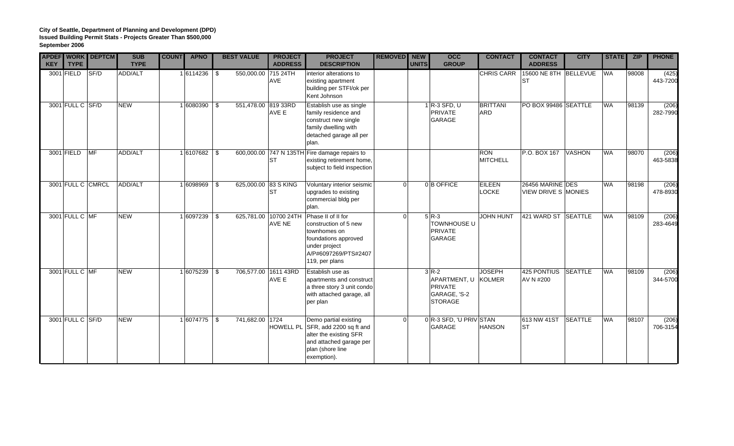| <b>KEY</b> | <b>TYPE</b>      | <b>APDEF WORK DEPTCM</b> | <b>SUB</b><br><b>TYPE</b> | <b>COUNT</b> | <b>APNO</b>      | <b>BEST VALUE</b>    | <b>PROJECT</b><br><b>ADDRESS</b> | <b>PROJECT</b><br><b>DESCRIPTION</b>                                                                                                               | REMOVED NEW | <b>UNITS</b> | <b>OCC</b><br><b>GROUP</b>                                                 | <b>CONTACT</b>                | <b>CONTACT</b><br><b>ADDRESS</b>        | <b>CITY</b>    | <b>STATE</b> | <b>ZIP</b> | <b>PHONE</b>      |
|------------|------------------|--------------------------|---------------------------|--------------|------------------|----------------------|----------------------------------|----------------------------------------------------------------------------------------------------------------------------------------------------|-------------|--------------|----------------------------------------------------------------------------|-------------------------------|-----------------------------------------|----------------|--------------|------------|-------------------|
|            | 3001 FIELD       | SF/D                     | ADD/ALT                   |              | $1 6114236 $ \\$ | 550,000.00 715 24TH  | AVE                              | interior alterations to<br>existing apartment<br>building per STFI/ok per<br>Kent Johnson                                                          |             |              |                                                                            | <b>CHRIS CARR</b>             | 15600 NE 8TH BELLEVUE<br><b>ST</b>      |                | <b>WA</b>    | 98008      | (425)<br>443-7200 |
|            |                  | 3001 FULL C SF/D         | <b>NEW</b>                |              | 1 6080390 \$     | 551,478.00 819 33RD  | AVE E                            | Establish use as single<br>family residence and<br>construct new single<br>family dwelling with<br>detached garage all per<br>plan.                |             |              | $1$ R-3 SFD, U<br><b>PRIVATE</b><br>GARAGE                                 | <b>BRITTANI</b><br><b>ARD</b> | PO BOX 99486 SEATTLE                    |                | <b>WA</b>    | 98139      | (206)<br>282-7990 |
|            | 3001 FIELD       | MF                       | ADD/ALT                   |              | $1 6107682 $ \$  |                      | <b>ST</b>                        | 600,000.00 747 N 135TH Fire damage repairs to<br>existing retirement home,<br>subject to field inspection                                          |             |              |                                                                            | <b>RON</b><br><b>MITCHELL</b> | P.O. BOX 167                            | <b>VASHON</b>  | <b>WA</b>    | 98070      | (206)<br>463-5838 |
|            |                  | 3001 FULL C CMRCL        | ADD/ALT                   |              | $1 6098969 $ \$  | 625,000.00 83 S KING | <b>ST</b>                        | Voluntary interior seismic<br>upgrades to existing<br>commercial bldg per<br>plan.                                                                 | $\Omega$    |              | 0B OFFICE                                                                  | <b>EILEEN</b><br>LOCKE        | 26456 MARINE DES<br>VIEW DRIVE S MONIES |                | <b>WA</b>    | 98198      | (206)<br>478-8930 |
|            | 3001 FULL C MF   |                          | <b>NEW</b>                |              | 1 6097239 \$     |                      | 625,781.00 10700 24TH<br>AVE NE  | Phase II of II for<br>construction of 5 new<br>townhomes on<br>foundations approved<br>under project<br>A/P#6097269/PTS#2407<br>119, per plans     | $\Omega$    |              | $5R-3$<br><b>TOWNHOUSE U</b><br><b>PRIVATE</b><br><b>GARAGE</b>            | <b>JOHN HUNT</b>              | 421 WARD ST SEATTLE                     |                | <b>WA</b>    | 98109      | (206)<br>283-4649 |
|            | 3001 FULL C MF   |                          | <b>NEW</b>                |              | $1 6075239 $ \$  | 706,577.00 1611 43RD | AVE E                            | Establish use as<br>apartments and construct<br>a three story 3 unit condo<br>with attached garage, all<br>per plan                                |             |              | $3R-2$<br>APARTMENT, U<br><b>PRIVATE</b><br>GARAGE, 'S-2<br><b>STORAGE</b> | <b>JOSEPH</b><br>KOLMER       | 425 PONTIUS SEATTLE<br>AV N #200        |                | <b>WA</b>    | 98109      | (206)<br>344-5700 |
|            | 3001 FULL C SF/D |                          | <b>NEW</b>                |              | 1 6074775 \$     | 741,682.00 1724      |                                  | Demo partial existing<br>HOWELL PL SFR, add 2200 sq ft and<br>alter the existing SFR<br>and attached garage per<br>plan (shore line<br>exemption). | $\Omega$    |              | 0 R-3 SFD, 'U PRIV STAN<br>GARAGE                                          | <b>HANSON</b>                 | 613 NW 41ST<br><b>ST</b>                | <b>SEATTLE</b> | <b>WA</b>    | 98107      | (206)<br>706-3154 |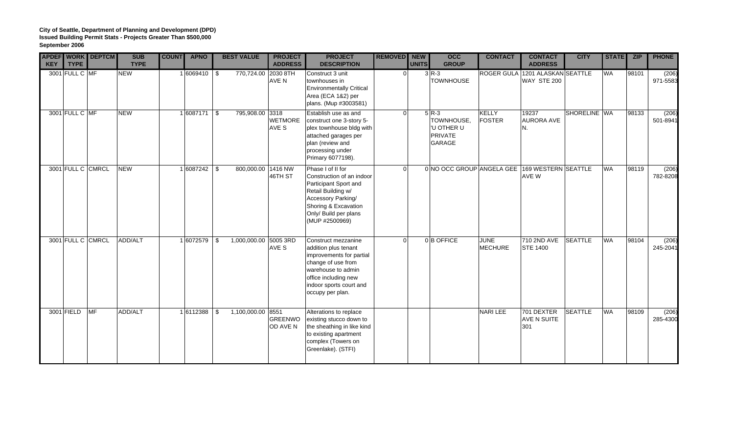| <b>KEY</b> | <b>TYPE</b>    | <b>APDEF WORK DEPTCM</b> | <b>SUB</b><br><b>TYPE</b> | <b>COUNT</b> | <b>APNO</b>     | <b>BEST VALUE</b>           | <b>PROJECT</b><br><b>ADDRESS</b> | <b>PROJECT</b><br><b>DESCRIPTION</b>                                                                                                                                                       | REMOVED NEW    | <b>UNITS</b> | $\overline{occ}$<br><b>GROUP</b>                                       | <b>CONTACT</b>                  | <b>CONTACT</b><br><b>ADDRESS</b> | <b>CITY</b>    | <b>STATE</b> | <b>ZIP</b> | <b>PHONE</b>      |
|------------|----------------|--------------------------|---------------------------|--------------|-----------------|-----------------------------|----------------------------------|--------------------------------------------------------------------------------------------------------------------------------------------------------------------------------------------|----------------|--------------|------------------------------------------------------------------------|---------------------------------|----------------------------------|----------------|--------------|------------|-------------------|
|            | 3001 FULL C MF |                          | <b>NEW</b>                |              | $1 6069410 $ \$ | 770,724.00 2030 8TH         | AVE N                            | Construct 3 unit<br>townhouses in<br><b>Environmentally Critical</b><br>Area (ECA 1&2) per<br>plans. (Mup #3003581)                                                                        | $\overline{0}$ |              | $3R-3$<br><b>TOWNHOUSE</b>                                             | ROGER GULA 1201 ALASKAN SEATTLE | WAY STE 200                      |                | <b>WA</b>    | 98101      | (206)<br>971-5583 |
|            | 3001 FULL C MF |                          | <b>NEW</b>                |              | $1 6087171 $ \$ | 795,908.00 3318             | <b>WETMORE</b><br>AVE S          | Establish use as and<br>construct one 3-story 5-<br>plex townhouse bldg with<br>attached garages per<br>plan (review and<br>processing under<br>Primary 6077198).                          | $\Omega$       |              | $5 R-3$<br>TOWNHOUSE,<br>'U OTHER U<br><b>PRIVATE</b><br><b>GARAGE</b> | KELLY<br><b>FOSTER</b>          | 19237<br><b>AURORA AVE</b><br>N. | SHORELINE WA   |              | 98133      | (206)<br>501-8941 |
|            |                | 3001 FULL C CMRCL        | <b>NEW</b>                |              | 1 6087242       | \$<br>800,000.00 1416 NW    | 46TH ST                          | Phase I of II for<br>Construction of an indoor<br>Participant Sport and<br>Retail Building w/<br>Accessory Parking/<br>Shoring & Excavation<br>Only/ Build per plans<br>(MUP #2500969)     | $\Omega$       |              | 0 NO OCC GROUP ANGELA GEE 169 WESTERN SEATTLE                          |                                 | AVE W                            |                | <b>WA</b>    | 98119      | (206)<br>782-8208 |
|            |                | 3001 FULL C CMRCL        | ADD/ALT                   |              | 1 6072579       | \$<br>1,000,000.00 5005 3RD | AVE S                            | Construct mezzanine<br>addition plus tenant<br>improvements for partial<br>change of use from<br>warehouse to admin<br>office including new<br>indoor sports court and<br>occupy per plan. | $\Omega$       |              | 0B OFFICE                                                              | <b>JUNE</b><br><b>MECHURE</b>   | 710 2ND AVE<br><b>STE 1400</b>   | <b>SEATTLE</b> | <b>WA</b>    | 98104      | (206)<br>245-2041 |
|            | 3001 FIELD     | <b>IMF</b>               | ADD/ALT                   |              | 1 6112388       | \$<br>1,100,000.00 8551     | GREENWO<br>OD AVE N              | Alterations to replace<br>existing stucco down to<br>the sheathing in like kind<br>to existing apartment<br>complex (Towers on<br>Greenlake). (STFI)                                       |                |              |                                                                        | <b>NARI LEE</b>                 | 701 DEXTER<br>AVE N SUITE<br>301 | <b>SEATTLE</b> | <b>WA</b>    | 98109      | (206)<br>285-4300 |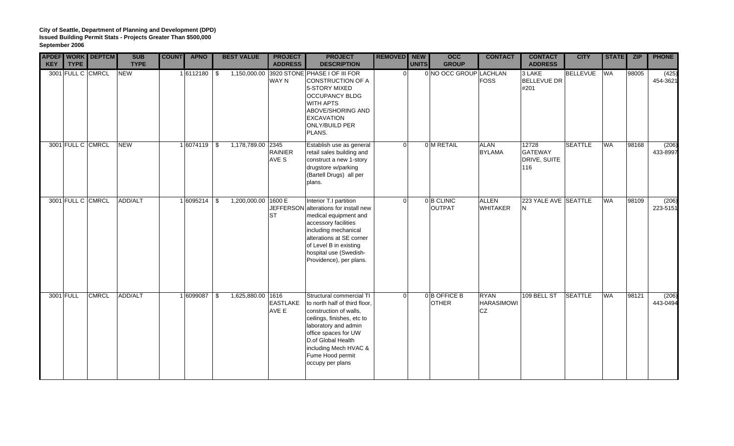| <b>KEY</b> | <b>TYPE</b> | <b>APDEF WORK DEPTCM</b> | <b>SUB</b><br><b>TYPE</b> | <b>COUNT</b> | <b>APNO</b>     |            | <b>BEST VALUE</b>   | <b>PROJECT</b><br><b>ADDRESS</b> | <b>PROJECT</b><br><b>DESCRIPTION</b>                                                                                                                                                                                                                     | REMOVED NEW | <b>UNITS</b> | $\overline{occ}$<br><b>GROUP</b> | <b>CONTACT</b>                                | <b>CONTACT</b><br><b>ADDRESS</b>               | <b>CITY</b>     | <b>STATE</b> | ZIP   | <b>PHONE</b>      |
|------------|-------------|--------------------------|---------------------------|--------------|-----------------|------------|---------------------|----------------------------------|----------------------------------------------------------------------------------------------------------------------------------------------------------------------------------------------------------------------------------------------------------|-------------|--------------|----------------------------------|-----------------------------------------------|------------------------------------------------|-----------------|--------------|-------|-------------------|
|            |             | 3001 FULL C CMRCL        | <b>NEW</b>                |              | $1 6112180 $ \$ |            |                     | <b>WAY N</b>                     | 1,150,000.00 3920 STONE PHASE I OF III FOR<br><b>CONSTRUCTION OF A</b><br>5-STORY MIXED<br><b>OCCUPANCY BLDG</b><br><b>WITH APTS</b><br>ABOVE/SHORING AND<br><b>EXCAVATION</b><br><b>ONLY/BUILD PER</b><br>PLANS.                                        | $\Omega$    |              | 0 NO OCC GROUP LACHLAN           | <b>FOSS</b>                                   | 3 LAKE<br><b>BELLEVUE DR</b><br>#201           | <b>BELLEVUE</b> | <b>WA</b>    | 98005 | (425)<br>454-3621 |
|            |             | 3001 FULL C CMRCL        | <b>NEW</b>                |              | 16074119 \$     |            | 1,178,789.00 2345   | <b>RAINIER</b><br>AVE S          | Establish use as general<br>retail sales building and<br>construct a new 1-story<br>drugstore w/parking<br>(Bartell Drugs) all per<br>plans.                                                                                                             | $\Omega$    |              | 0 M RETAIL                       | <b>ALAN</b><br><b>BYLAMA</b>                  | 12728<br><b>GATEWAY</b><br>DRIVE, SUITE<br>116 | <b>SEATTLE</b>  | <b>WA</b>    | 98168 | (206)<br>433-8997 |
|            |             | 3001 FULL C CMRCL        | ADD/ALT                   |              | 1 6095214       | $\vert$ \$ | 1,200,000.00 1600 E | <b>ST</b>                        | Interior T.I partition<br>JEFFERSON alterations for install new<br>medical equipment and<br>accessory facilities<br>including mechanical<br>alterations at SE corner<br>of Level B in existing<br>hospital use (Swedish-<br>Providence), per plans.      | $\Omega$    |              | 0 B CLINIC<br><b>OUTPAT</b>      | <b>ALLEN</b><br><b>WHITAKER</b>               | 223 YALE AVE SEATTLE<br>N                      |                 | <b>WA</b>    | 98109 | (206)<br>223-5151 |
| 3001 FULL  |             | <b>CMRCL</b>             | ADD/ALT                   |              | 1 6099087       | $\vert$ \$ | 1,625,880.00 1616   | <b>EASTLAKE</b><br>AVE E         | Structural commercial TI<br>to north half of third floor,<br>construction of walls,<br>ceilings, finishes, etc to<br>laboratory and admin<br>office spaces for UW<br>D.of Global Health<br>including Mech HVAC &<br>Fume Hood permit<br>occupy per plans | $\Omega$    |              | 0B OFFICE B<br><b>OTHER</b>      | <b>RYAN</b><br><b>HARASIMOWI</b><br><b>CZ</b> | 109 BELL ST                                    | <b>SEATTLE</b>  | <b>WA</b>    | 98121 | (206)<br>443-0494 |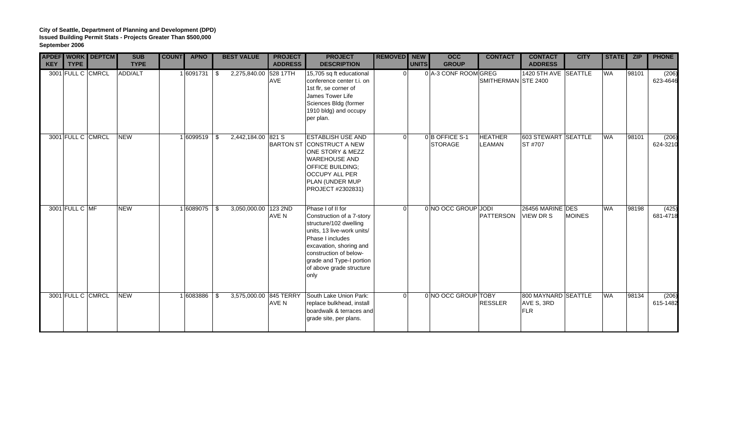| <b>KEY</b> | <b>TYPE</b>       | <b>APDEF WORK DEPTCM</b> | <b>SUB</b><br><b>TYPE</b> | <b>COUNT</b> | <b>APNO</b>      |      | <b>BEST VALUE</b>     | <b>PROJECT</b><br><b>ADDRESS</b> | <b>PROJECT</b><br><b>DESCRIPTION</b>                                                                                                                                                                                                            | <b>REMOVED</b> NEW | <b>UNITS</b> | occ<br><b>GROUP</b>             | <b>CONTACT</b>           | <b>CONTACT</b><br><b>ADDRESS</b>         | <b>CITY</b>   | STATE ZIP |       | <b>PHONE</b>      |
|------------|-------------------|--------------------------|---------------------------|--------------|------------------|------|-----------------------|----------------------------------|-------------------------------------------------------------------------------------------------------------------------------------------------------------------------------------------------------------------------------------------------|--------------------|--------------|---------------------------------|--------------------------|------------------------------------------|---------------|-----------|-------|-------------------|
|            | 3001 FULL C CMRCL |                          | ADD/ALT                   |              | 1 6091731        | l \$ | 2,275,840.00 528 17TH | <b>AVE</b>                       | 15,705 sq ft educational<br>conference center t.i. on<br>1st flr, se corner of<br>James Tower Life<br>Sciences Bldg (former<br>1910 bldg) and occupy<br>per plan.                                                                               | n l                |              | 0 A-3 CONF ROOM GREG            | SMITHERMAN STE 2400      | 1420 5TH AVE SEATTLE                     |               | <b>WA</b> | 98101 | (206)<br>623-4646 |
|            | 3001 FULL C CMRCL |                          | <b>NEW</b>                |              | $1 6099519$ \ \$ |      | 2.442.184.00 821 S    |                                  | <b>ESTABLISH USE AND</b><br><b>BARTON ST CONSTRUCT A NEW</b><br>ONE STORY & MEZZ<br><b>WAREHOUSE AND</b><br><b>OFFICE BUILDING:</b><br><b>OCCUPY ALL PER</b><br>PLAN (UNDER MUP<br>PROJECT #2302831)                                            | $\Omega$           |              | 0B OFFICE S-1<br><b>STORAGE</b> | <b>HEATHER</b><br>LEAMAN | 603 STEWART SEATTLE<br><b>ST #707</b>    |               | <b>WA</b> | 98101 | (206)<br>624-3210 |
|            | 3001 FULL C MF    |                          | <b>NEW</b>                |              | 1 6089075        | l \$ | 3,050,000.00 123 2ND  | AVE N                            | Phase I of II for<br>Construction of a 7-story<br>structure/102 dwelling<br>units, 13 live-work units/<br>Phase I includes<br>excavation, shoring and<br>construction of below-<br>grade and Type-I portion<br>of above grade structure<br>only | $\Omega$           |              | 0 NO OCC GROUP JODI             | PATTERSON                | 26456 MARINE DES<br><b>VIEW DR S</b>     | <b>MOINES</b> | <b>WA</b> | 98198 | (425)<br>681-4718 |
|            | 3001 FULL C CMRCL |                          | <b>NEW</b>                |              | 1 6083886        | -\$  |                       | AVE N                            | 3,575,000.00 845 TERRY South Lake Union Park:<br>replace bulkhead, install<br>boardwalk & terraces and<br>grade site, per plans.                                                                                                                | $\Omega$           |              | 0 NO OCC GROUP TOBY             | <b>RESSLER</b>           | 800 MAYNARD SEATTLE<br>AVE S, 3RD<br>FLR |               | <b>WA</b> | 98134 | (206)<br>615-1482 |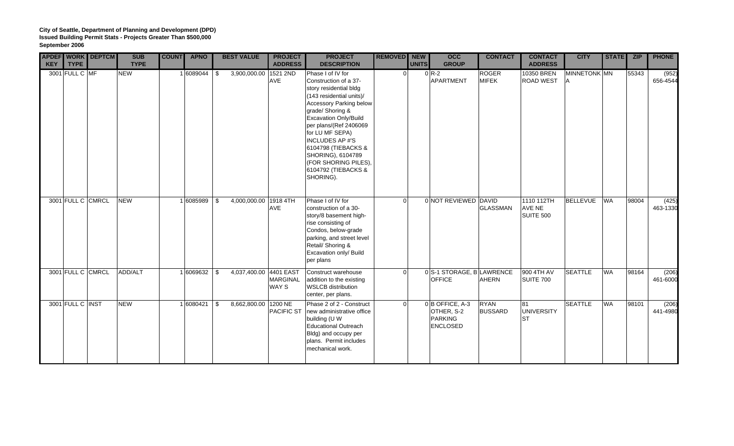| <b>KEY</b> | <b>APDEF WORK DEPTCM</b><br><b>TYPE</b> | <b>SUB</b><br><b>TYPE</b> | <b>COUNT</b> | <b>APNO</b>     | <b>BEST VALUE</b>          | <b>PROJECT</b><br><b>ADDRESS</b> | <b>PROJECT</b><br><b>DESCRIPTION</b>                                                                                                                                                                                                                                                                                                                          | REMOVED NEW | <b>UNITS</b> | <b>OCC</b><br><b>GROUP</b>                                           | <b>CONTACT</b>                | <b>CONTACT</b><br><b>ADDRESS</b>         | <b>CITY</b>         | <b>STATE</b> | <b>ZIP</b> | <b>PHONE</b>      |
|------------|-----------------------------------------|---------------------------|--------------|-----------------|----------------------------|----------------------------------|---------------------------------------------------------------------------------------------------------------------------------------------------------------------------------------------------------------------------------------------------------------------------------------------------------------------------------------------------------------|-------------|--------------|----------------------------------------------------------------------|-------------------------------|------------------------------------------|---------------------|--------------|------------|-------------------|
|            | 3001 FULL C MF                          | <b>NEW</b>                |              | $1 6089044 $ \$ | 3,900,000.00 1521 2ND      | AVE                              | Phase I of IV for<br>Construction of a 37-<br>story residential bldg<br>(143 residential units)/<br><b>Accessory Parking below</b><br>grade/ Shoring &<br>Excavation Only/Build<br>per plans/(Ref 2406069<br>for LU MF SEPA)<br><b>INCLUDES AP#'S</b><br>6104798 (TIEBACKS &<br>SHORING), 6104789<br>(FOR SHORING PILES),<br>6104792 (TIEBACKS &<br>SHORING). | 0           |              | $0 R-2$<br><b>APARTMENT</b>                                          | <b>ROGER</b><br><b>MIFEK</b>  | 10350 BREN<br><b>ROAD WEST</b>           | MINNETONK MN<br>IA. |              | 55343      | (952)<br>656-4544 |
|            | 3001 FULL C CMRCL                       | <b>NEW</b>                |              | 16085989 \$     | 4,000,000.00 1918 4TH      | <b>AVE</b>                       | Phase I of IV for<br>construction of a 30-<br>story/8 basement high-<br>rise consisting of<br>Condos, below-grade<br>parking, and street level<br>Retail/ Shoring &<br>Excavation only/ Build<br>per plans                                                                                                                                                    | $\Omega$    |              | 0 NOT REVIEWED DAVID                                                 | <b>GLASSMAN</b>               | 1110 112TH<br><b>AVE NE</b><br>SUITE 500 | <b>BELLEVUE</b>     | <b>WA</b>    | 98004      | (425)<br>463-1330 |
|            | 3001 FULL C CMRCL                       | ADD/ALT                   |              | 1 6069632 \$    | 4,037,400.00 4401 EAST     | <b>MARGINAL</b><br>WAY S         | Construct warehouse<br>addition to the existing<br><b>WSLCB</b> distribution<br>center, per plans.                                                                                                                                                                                                                                                            | $\Omega$    |              | 0 S-1 STORAGE, BLAWRENCE<br><b>OFFICE</b>                            | <b>AHERN</b>                  | 900 4TH AV<br>SUITE 700                  | <b>SEATTLE</b>      | <b>WA</b>    | 98164      | (206)<br>461-6000 |
|            | 3001 FULL C INST                        | <b>NEW</b>                |              | 1 6080421       | \$<br>8,662,800.00 1200 NE |                                  | Phase 2 of 2 - Construct<br>PACIFIC ST new administrative office<br>building (U W<br><b>Educational Outreach</b><br>Bldg) and occupy per<br>plans. Permit includes<br>mechanical work.                                                                                                                                                                        | n l         |              | $0 B$ OFFICE, A-3<br>OTHER, S-2<br><b>PARKING</b><br><b>ENCLOSED</b> | <b>RYAN</b><br><b>BUSSARD</b> | 81<br><b>UNIVERSITY</b><br><b>ST</b>     | <b>SEATTLE</b>      | <b>WA</b>    | 98101      | (206)<br>441-4980 |